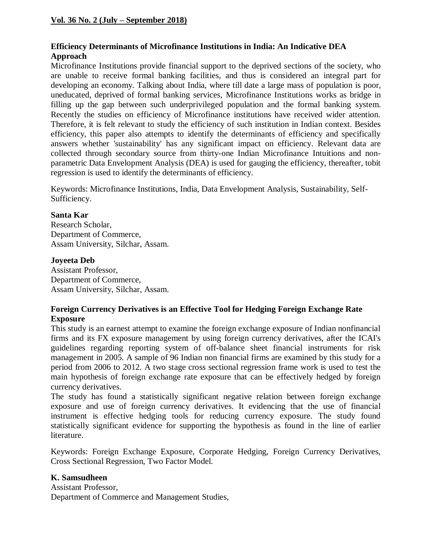# **Efficiency Determinants of Microfinance Institutions in India: An Indicative DEA Approach**

Microfinance Institutions provide financial support to the deprived sections of the society, who are unable to receive formal banking facilities, and thus is considered an integral part for developing an economy. Talking about India, where till date a large mass of population is poor, uneducated, deprived of formal banking services, Microfinance Institutions works as bridge in filling up the gap between such underprivileged population and the formal banking system. Recently the studies on efficiency of Microfinance institutions have received wider attention. Therefore, it is felt relevant to study the efficiency of such institution in Indian context. Besides efficiency, this paper also attempts to identify the determinants of efficiency and specifically answers whether 'sustainability' has any significant impact on efficiency. Relevant data are collected through secondary source from thirty-one Indian Microfinance Intuitions and nonparametric Data Envelopment Analysis (DEA) is used for gauging the efficiency, thereafter, tobit regression is used to identify the determinants of efficiency.

Keywords: Microfinance Institutions, India, Data Envelopment Analysis, Sustainability, Self-Sufficiency.

#### **Santa Kar**

Research Scholar, Department of Commerce, Assam University, Silchar, Assam.

## **Joyeeta Deb**

Assistant Professor, Department of Commerce, Assam University, Silchar, Assam.

## **Foreign Currency Derivatives is an Effective Tool for Hedging Foreign Exchange Rate Exposure**

This study is an earnest attempt to examine the foreign exchange exposure of Indian nonfinancial firms and its FX exposure management by using foreign currency derivatives, after the ICAI's guidelines regarding reporting system of off-balance sheet financial instruments for risk management in 2005. A sample of 96 Indian non financial firms are examined by this study for a period from 2006 to 2012. A two stage cross sectional regression frame work is used to test the main hypothesis of foreign exchange rate exposure that can be effectively hedged by foreign currency derivatives.

The study has found a statistically significant negative relation between foreign exchange exposure and use of foreign currency derivatives. It evidencing that the use of financial instrument is effective hedging tools for reducing currency exposure. The study found statistically significant evidence for supporting the hypothesis as found in the line of earlier literature.

Keywords: Foreign Exchange Exposure, Corporate Hedging, Foreign Currency Derivatives, Cross Sectional Regression, Two Factor Model.

#### **K. Samsudheen**

Assistant Professor, Department of Commerce and Management Studies,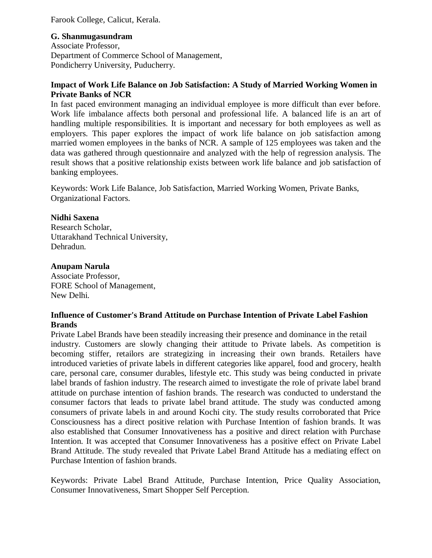Farook College, Calicut, Kerala.

## **G. Shanmugasundram**

Associate Professor, Department of Commerce School of Management, Pondicherry University, Puducherry.

## **Impact of Work Life Balance on Job Satisfaction: A Study of Married Working Women in Private Banks of NCR**

In fast paced environment managing an individual employee is more difficult than ever before. Work life imbalance affects both personal and professional life. A balanced life is an art of handling multiple responsibilities. It is important and necessary for both employees as well as employers. This paper explores the impact of work life balance on job satisfaction among married women employees in the banks of NCR. A sample of 125 employees was taken and the data was gathered through questionnaire and analyzed with the help of regression analysis. The result shows that a positive relationship exists between work life balance and job satisfaction of banking employees.

Keywords: Work Life Balance, Job Satisfaction, Married Working Women, Private Banks, Organizational Factors.

## **Nidhi Saxena**

Research Scholar, Uttarakhand Technical University, Dehradun.

## **Anupam Narula**

Associate Professor, FORE School of Management, New Delhi.

## **Influence of Customer's Brand Attitude on Purchase Intention of Private Label Fashion Brands**

Private Label Brands have been steadily increasing their presence and dominance in the retail industry. Customers are slowly changing their attitude to Private labels. As competition is becoming stiffer, retailors are strategizing in increasing their own brands. Retailers have introduced varieties of private labels in different categories like apparel, food and grocery, health care, personal care, consumer durables, lifestyle etc. This study was being conducted in private label brands of fashion industry. The research aimed to investigate the role of private label brand attitude on purchase intention of fashion brands. The research was conducted to understand the consumer factors that leads to private label brand attitude. The study was conducted among consumers of private labels in and around Kochi city. The study results corroborated that Price Consciousness has a direct positive relation with Purchase Intention of fashion brands. It was also established that Consumer Innovativeness has a positive and direct relation with Purchase Intention. It was accepted that Consumer Innovativeness has a positive effect on Private Label Brand Attitude. The study revealed that Private Label Brand Attitude has a mediating effect on Purchase Intention of fashion brands.

Keywords: Private Label Brand Attitude, Purchase Intention, Price Quality Association, Consumer Innovativeness, Smart Shopper Self Perception.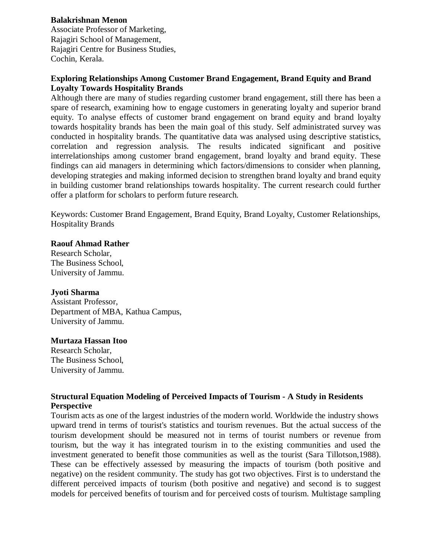## **Balakrishnan Menon**

Associate Professor of Marketing, Rajagiri School of Management, Rajagiri Centre for Business Studies, Cochin, Kerala.

#### **Exploring Relationships Among Customer Brand Engagement, Brand Equity and Brand Loyalty Towards Hospitality Brands**

Although there are many of studies regarding customer brand engagement, still there has been a spare of research, examining how to engage customers in generating loyalty and superior brand equity. To analyse effects of customer brand engagement on brand equity and brand loyalty towards hospitality brands has been the main goal of this study. Self administrated survey was conducted in hospitality brands. The quantitative data was analysed using descriptive statistics, correlation and regression analysis. The results indicated significant and positive interrelationships among customer brand engagement, brand loyalty and brand equity. These findings can aid managers in determining which factors/dimensions to consider when planning, developing strategies and making informed decision to strengthen brand loyalty and brand equity in building customer brand relationships towards hospitality. The current research could further offer a platform for scholars to perform future research.

Keywords: Customer Brand Engagement, Brand Equity, Brand Loyalty, Customer Relationships, Hospitality Brands

#### **Raouf Ahmad Rather**

Research Scholar, The Business School, University of Jammu.

#### **Jyoti Sharma**

Assistant Professor, Department of MBA, Kathua Campus, University of Jammu.

#### **Murtaza Hassan Itoo**

Research Scholar, The Business School, University of Jammu.

## **Structural Equation Modeling of Perceived Impacts of Tourism - A Study in Residents Perspective**

Tourism acts as one of the largest industries of the modern world. Worldwide the industry shows upward trend in terms of tourist's statistics and tourism revenues. But the actual success of the tourism development should be measured not in terms of tourist numbers or revenue from tourism, but the way it has integrated tourism in to the existing communities and used the investment generated to benefit those communities as well as the tourist (Sara Tillotson,1988). These can be effectively assessed by measuring the impacts of tourism (both positive and negative) on the resident community. The study has got two objectives. First is to understand the different perceived impacts of tourism (both positive and negative) and second is to suggest models for perceived benefits of tourism and for perceived costs of tourism. Multistage sampling